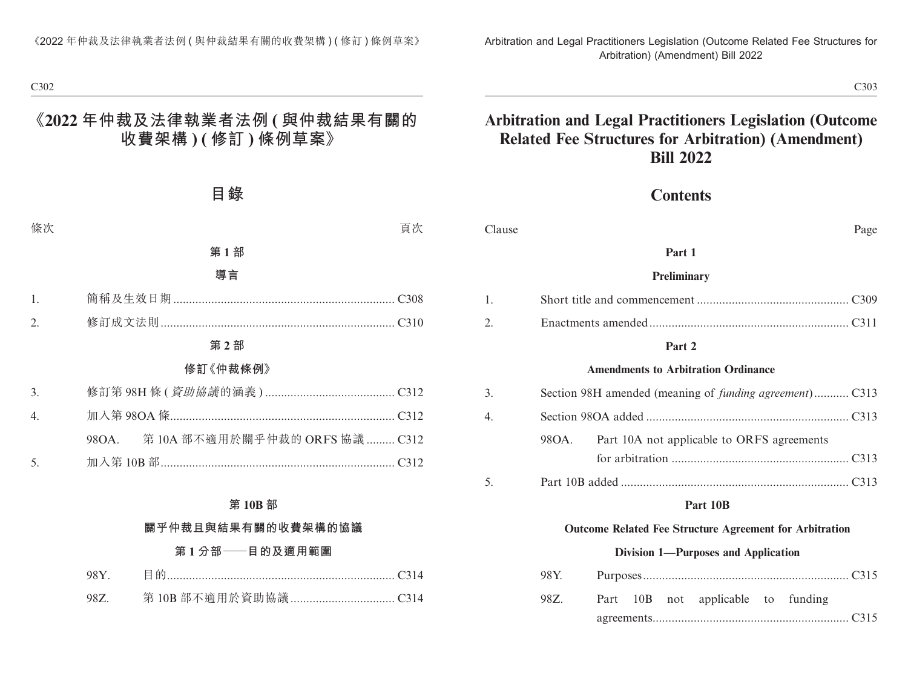# **Arbitration and Legal Practitioners Legislation (Outcome Related Fee Structures for Arbitration) (Amendment) Bill 2022**

### **Contents**

| Clause         | Page                                                           |
|----------------|----------------------------------------------------------------|
|                | Part 1                                                         |
|                | Preliminary                                                    |
| $\mathbf{1}$ . |                                                                |
| 2.             |                                                                |
|                | Part 2                                                         |
|                | <b>Amendments to Arbitration Ordinance</b>                     |
| 3.             | Section 98H amended (meaning of <i>funding agreement</i> )C313 |
| 4.             |                                                                |
|                | 98OA.<br>Part 10A not applicable to ORFS agreements            |
|                |                                                                |
| 5.             |                                                                |
|                | Part 10B                                                       |
|                | <b>Outcome Related Fee Structure Agreement for Arbitration</b> |
|                | <b>Division 1—Purposes and Application</b>                     |
|                | 98Y.                                                           |
|                | 98Z.<br>Part 10B not<br>applicable to funding                  |

agreements.............................................................. C315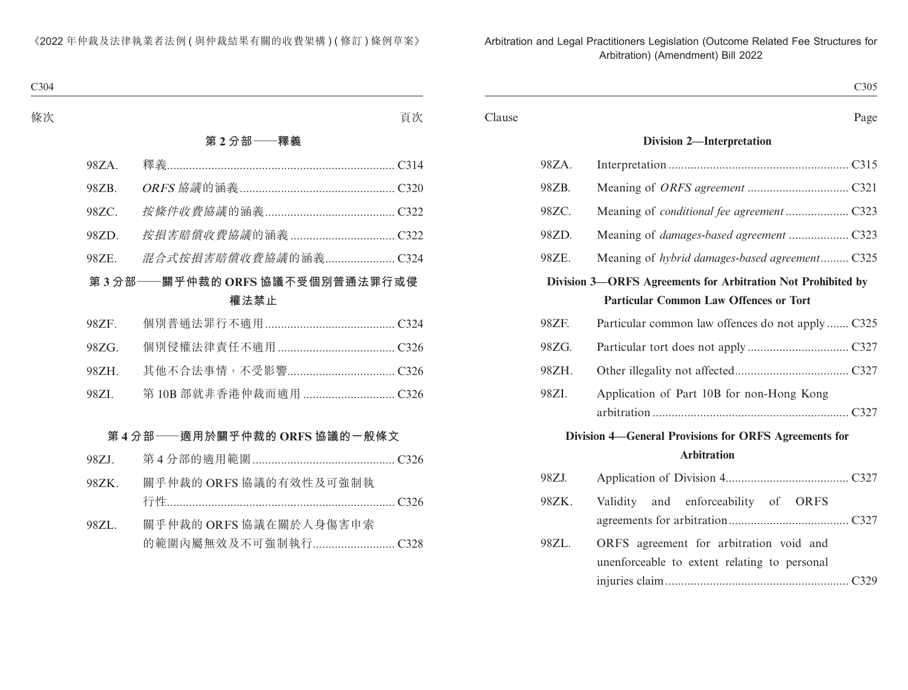|        |       | C305                                                         |
|--------|-------|--------------------------------------------------------------|
| Clause |       | Page                                                         |
|        |       | <b>Division 2-Interpretation</b>                             |
|        | 98ZA. |                                                              |
|        | 98ZB. |                                                              |
|        | 98ZC. |                                                              |
|        | 98ZD. | Meaning of <i>damages-based agreement</i> C323               |
|        | 98ZE. | Meaning of hybrid damages-based agreement C325               |
|        |       | Division 3-ORFS Agreements for Arbitration Not Prohibited by |
|        |       | <b>Particular Common Law Offences or Tort</b>                |
|        | 98ZF. | Particular common law offences do not apply  C325            |
|        | 98ZG. |                                                              |
|        | 98ZH. |                                                              |
|        | 98ZI. | Application of Part 10B for non-Hong Kong                    |
|        |       |                                                              |
|        |       | Division 4–General Provisions for ORFS Agreements for        |
|        |       | <b>Arbitration</b>                                           |
|        | 98ZJ. |                                                              |
|        | 98ZK. | and enforceability of ORFS<br>Validity                       |
|        |       |                                                              |
|        | 98ZL. | ORFS agreement for arbitration void and                      |
|        |       | unenforceable to extent relating to personal                 |
|        |       |                                                              |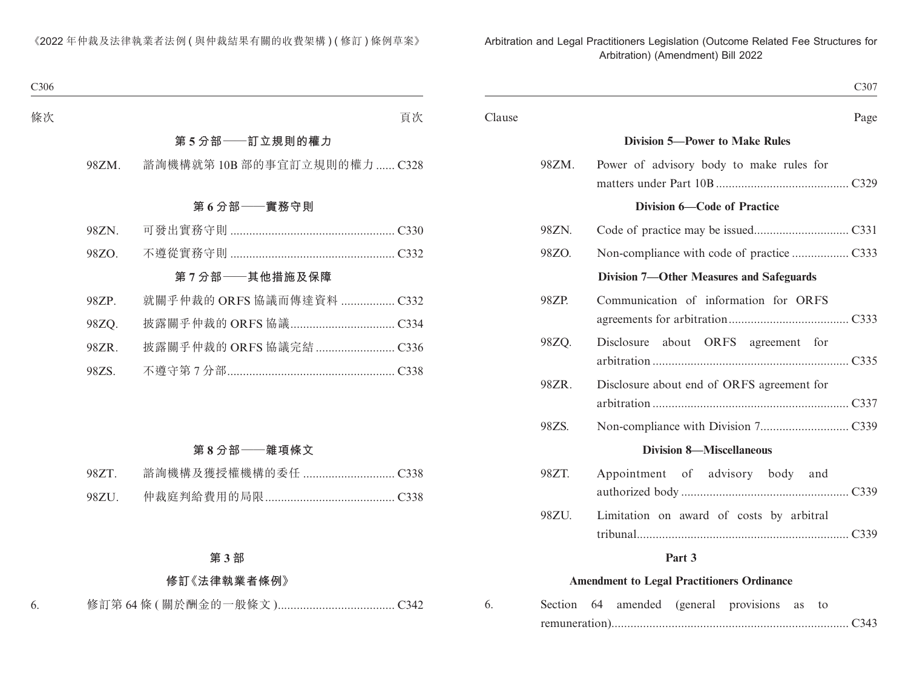|        | C307                                       |
|--------|--------------------------------------------|
| Clause | Page                                       |
|        | <b>Division 5-Power to Make Rules</b>      |
| 98ZM.  | Power of advisory body to make rules for   |
|        | Division 6—Code of Practice                |
| 98ZN.  |                                            |
| 98ZO.  |                                            |
|        | Division 7-Other Measures and Safeguards   |
| 98ZP.  | Communication of information for ORFS      |
| 98ZQ.  | Disclosure about ORFS agreement for        |
| 98ZR.  | Disclosure about end of ORFS agreement for |
| 98ZS.  |                                            |
|        | <b>Division 8-Miscellaneous</b>            |
| 98ZT.  | Appointment of advisory body and           |
| 98ZU.  | Limitation on award of costs by arbitral   |
|        | Part 3                                     |
|        |                                            |

#### **Amendment to Legal Practitioners Ordinance**

| 6. |  |  | Section 64 amended (general provisions as to |  |  |
|----|--|--|----------------------------------------------|--|--|
|    |  |  |                                              |  |  |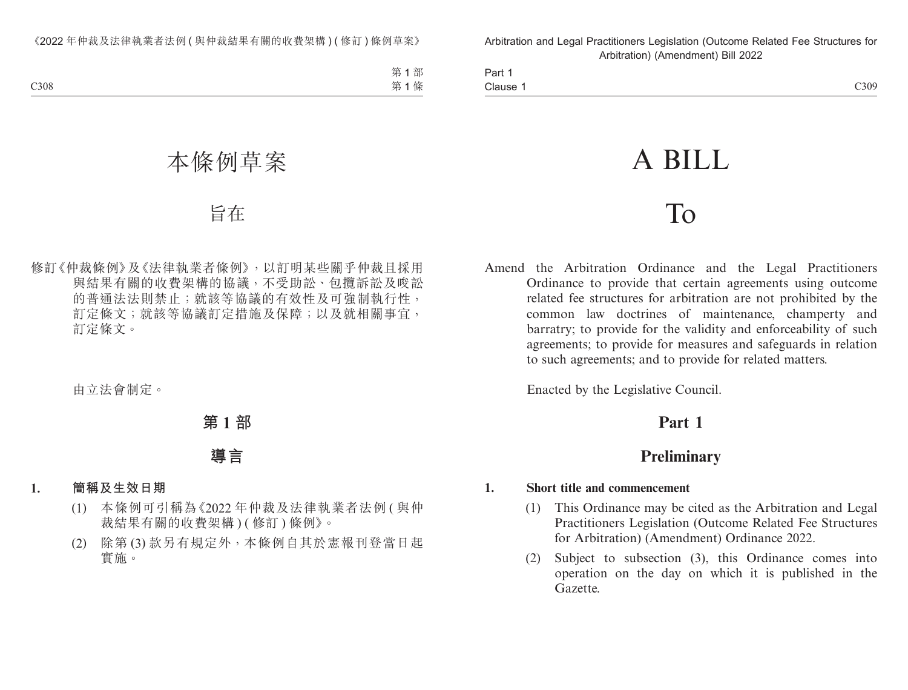Part 1 Clause 1  $\alpha$  Clause 1  $\alpha$ 

# A BILL

# To

Amend the Arbitration Ordinance and the Legal Practitioners Ordinance to provide that certain agreements using outcome related fee structures for arbitration are not prohibited by the common law doctrines of maintenance, champerty and barratry; to provide for the validity and enforceability of such agreements; to provide for measures and safeguards in relation to such agreements; and to provide for related matters.

Enacted by the Legislative Council.

# **Part 1**

# **Preliminary**

### **1. Short title and commencement**

- (1) This Ordinance may be cited as the Arbitration and Legal Practitioners Legislation (Outcome Related Fee Structures for Arbitration) (Amendment) Ordinance 2022.
- (2) Subject to subsection (3), this Ordinance comes into operation on the day on which it is published in the Gazette.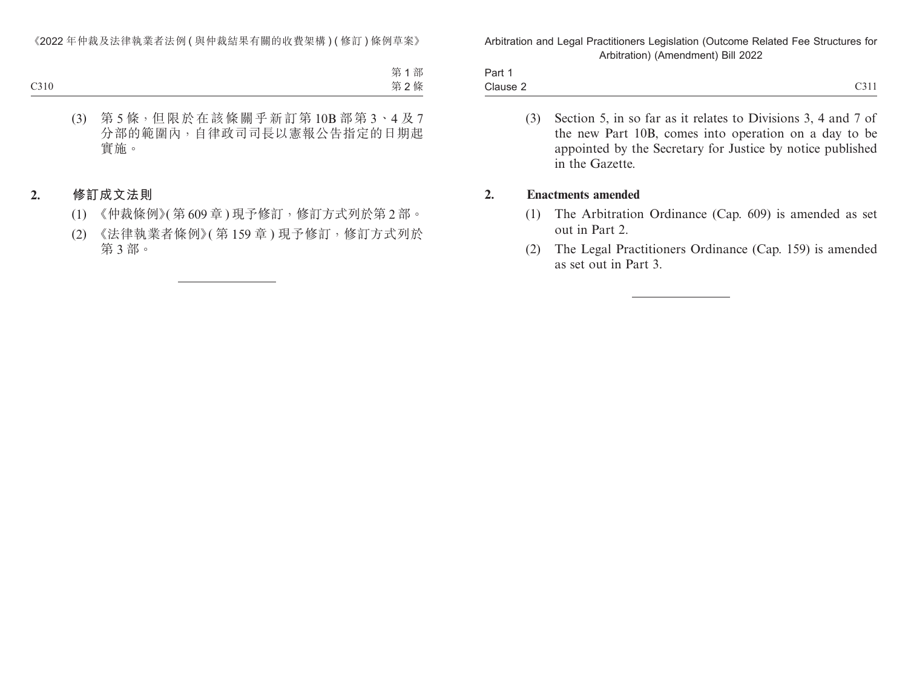| $\overline{\phantom{0}}$<br>Part 1 |                                           |
|------------------------------------|-------------------------------------------|
| Clause 2                           | $\sim$ $\sim$ $\sim$ $\sim$<br>$\sim$ -11 |

(3) Section 5, in so far as it relates to Divisions 3, 4 and 7 of the new Part 10B, comes into operation on a day to be appointed by the Secretary for Justice by notice published in the Gazette.

#### **2. Enactments amended**

- (1) The Arbitration Ordinance (Cap. 609) is amended as set out in Part 2.
- (2) The Legal Practitioners Ordinance (Cap. 159) is amended as set out in Part 3.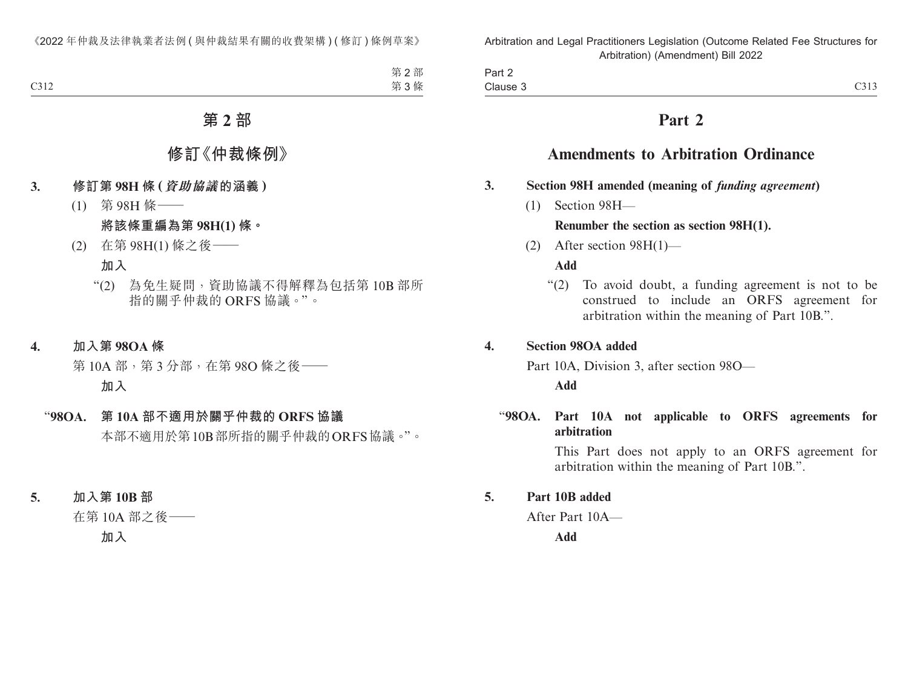| <b>STATES OF THE STATES</b><br>Part 2 |                    |
|---------------------------------------|--------------------|
| Clause 3                              | $\sim$ 1.1<br>C31. |

# **Part 2**

# **Amendments to Arbitration Ordinance**

### **3. Section 98H amended (meaning of** *funding agreement***)**

(1) Section 98H—

# **Renumber the section as section 98H(1).**

(2) After section 98H(1)—

**Add**

"(2) To avoid doubt, a funding agreement is not to be construed to include an ORFS agreement for arbitration within the meaning of Part 10B.".

### **4. Section 98OA added**

Part 10A, Division 3, after section 98O—

**Add**

### "**98OA. Part 10A not applicable to ORFS agreements for arbitration**

This Part does not apply to an ORFS agreement for arbitration within the meaning of Part 10B.".

# **5. Part 10B added**

After Part 10A—

**Add**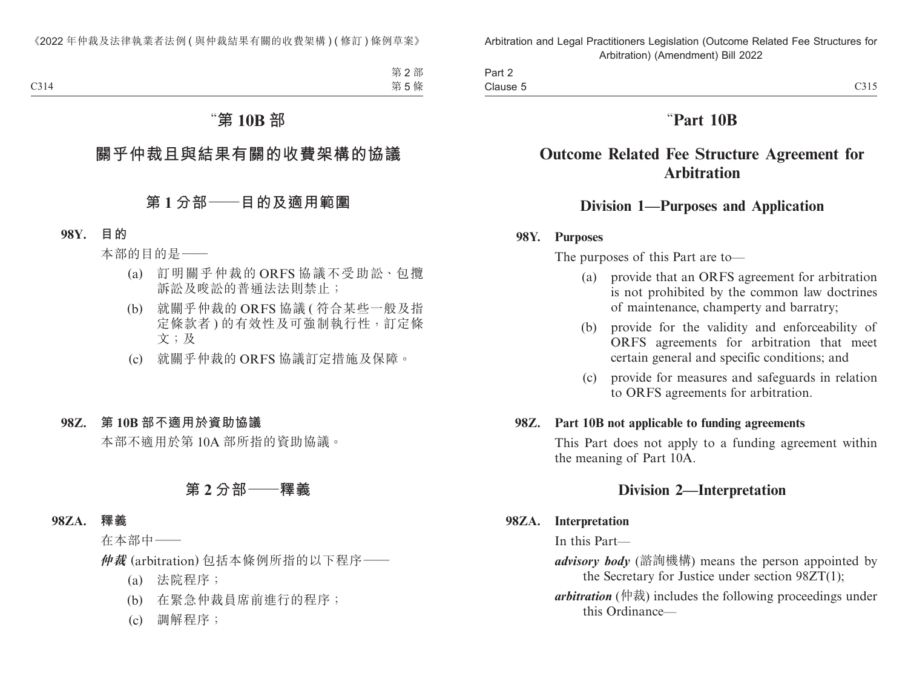Part 2 Clause 5 Clause  $5$  C315

# "**Part 10B**

# **Outcome Related Fee Structure Agreement for Arbitration**

# **Division 1—Purposes and Application**

#### **98Y. Purposes**

The purposes of this Part are to—

- (a) provide that an ORFS agreement for arbitration is not prohibited by the common law doctrines of maintenance, champerty and barratry;
- (b) provide for the validity and enforceability of ORFS agreements for arbitration that meet certain general and specific conditions; and
- (c) provide for measures and safeguards in relation to ORFS agreements for arbitration.

#### **98Z. Part 10B not applicable to funding agreements**

This Part does not apply to a funding agreement within the meaning of Part 10A.

# **Division 2—Interpretation**

### **98ZA. Interpretation**

In this Part—

- *advisory body* (諮詢機構) means the person appointed by the Secretary for Justice under section 98ZT(1);
- *arbitration* (仲裁) includes the following proceedings under this Ordinance—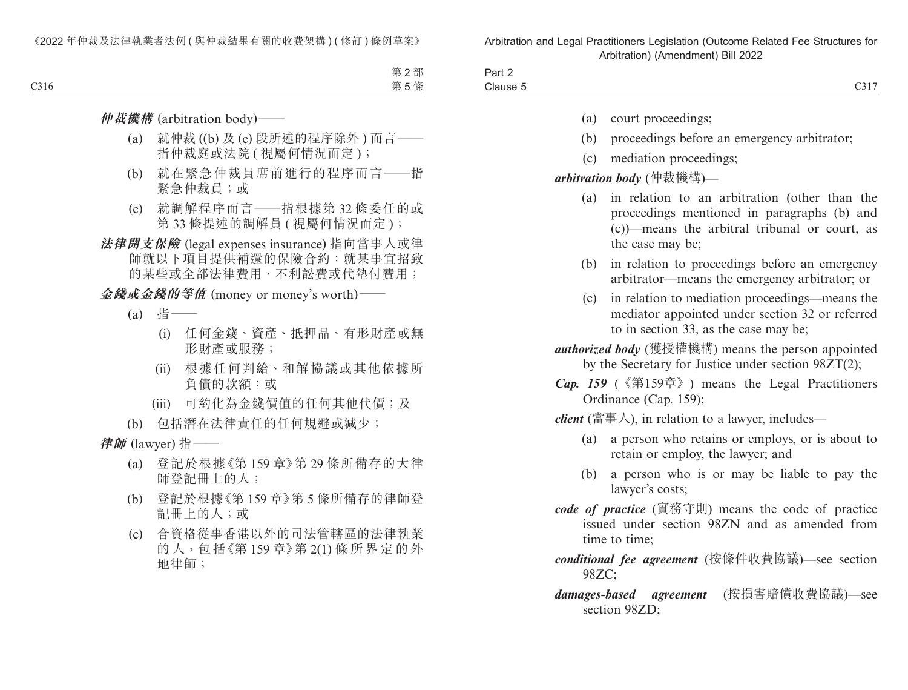| Part 2     |      |
|------------|------|
| Clause $t$ | C317 |

- (a) court proceedings;
- (b) proceedings before an emergency arbitrator;
- (c) mediation proceedings;

#### *arbitration body* (仲裁機構)—

- (a) in relation to an arbitration (other than the proceedings mentioned in paragraphs (b) and (c))—means the arbitral tribunal or court, as the case may be;
- (b) in relation to proceedings before an emergency arbitrator—means the emergency arbitrator; or
- (c) in relation to mediation proceedings—means the mediator appointed under section 32 or referred to in section 33, as the case may be;

*authorized body* (獲授權機構) means the person appointed by the Secretary for Justice under section 98ZT(2);

*Cap. 159* (《第159章》) means the Legal Practitioners Ordinance (Cap. 159);

*client* (當事人), in relation to a lawyer, includes—

- (a) a person who retains or employs, or is about to retain or employ, the lawyer; and
- (b) a person who is or may be liable to pay the lawyer's costs;
- *code of practice* (實務守則) means the code of practice issued under section 98ZN and as amended from time to time;

### *conditional fee agreement* (按條件收費協議)—see section 98ZC;

*damages-based agreement* (按損害賠償收費協議)—see section 98ZD;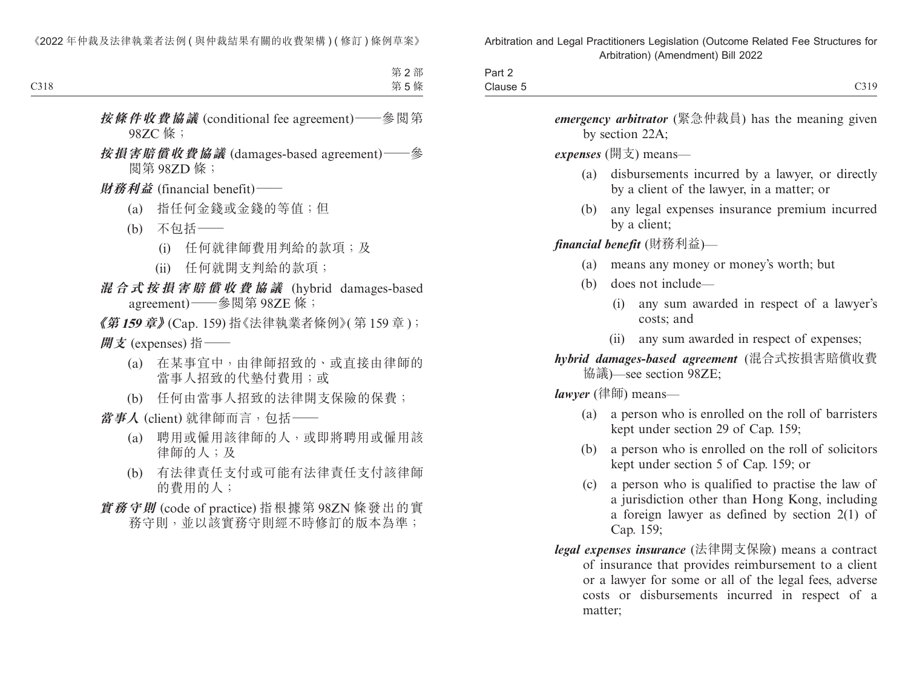| $\overline{\phantom{a}}$<br>$\sim$<br>$J \cap r +$<br>Part Z |                       |
|--------------------------------------------------------------|-----------------------|
| Clause 5                                                     | C319<br>$\cup$ $\cup$ |

*emergency arbitrator* (緊急仲裁員) has the meaning given by section 22A;

*expenses* (開支) means—

- (a) disbursements incurred by a lawyer, or directly by a client of the lawyer, in a matter; or
- (b) any legal expenses insurance premium incurred by a client;

*financial benefit* (財務利益)—

- (a) means any money or money's worth; but
- (b) does not include—
	- (i) any sum awarded in respect of a lawyer's costs; and
	- (ii) any sum awarded in respect of expenses;

*hybrid damages-based agreement* (混合式按損害賠償收費 協議)—see section 98ZE;

*lawyer* (律師) means—

- (a) a person who is enrolled on the roll of barristers kept under section 29 of Cap. 159;
- (b) a person who is enrolled on the roll of solicitors kept under section 5 of Cap. 159; or
- (c) a person who is qualified to practise the law of a jurisdiction other than Hong Kong, including a foreign lawyer as defined by section 2(1) of Cap. 159;
- *legal expenses insurance* (法律開支保險) means a contract of insurance that provides reimbursement to a client or a lawyer for some or all of the legal fees, adverse costs or disbursements incurred in respect of a matter;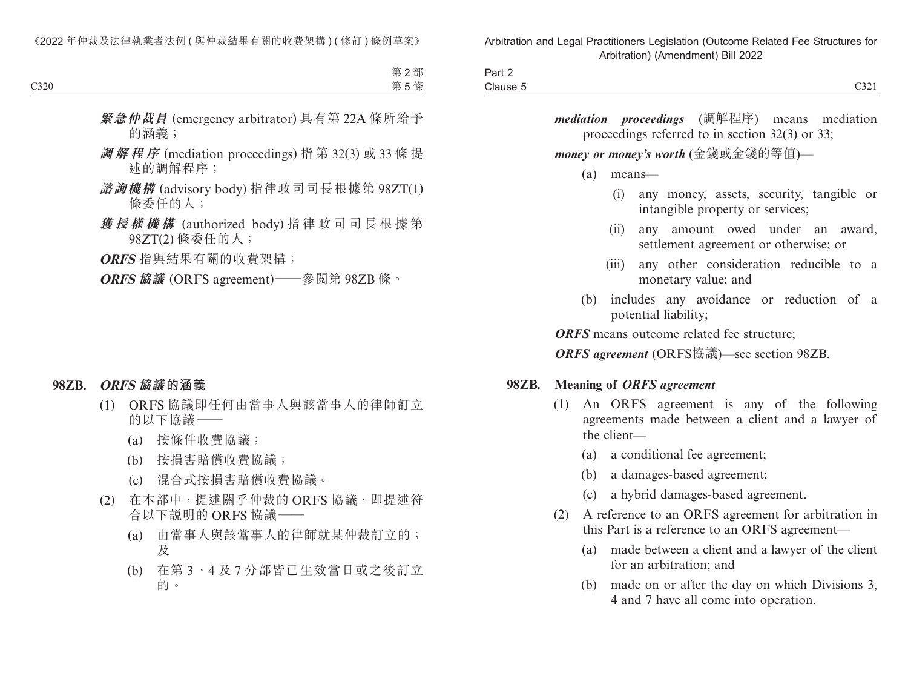| C321                                                                                                     | Part 2<br>Clause 5 |
|----------------------------------------------------------------------------------------------------------|--------------------|
| <i>mediation proceedings</i> (調解程序) means mediation<br>proceedings referred to in section $32(3)$ or 33; |                    |
| money or money's worth (金錢或金錢的等值)—                                                                       |                    |
| (a)<br>means-                                                                                            |                    |
| any money, assets, security, tangible or<br>(i)<br>intangible property or services;                      |                    |
| any amount owed under an award,<br>(11)<br>settlement agreement or otherwise; or                         |                    |
| any other consideration reducible to a<br>(111)<br>monetary value; and                                   |                    |
| includes any avoidance or reduction of a<br>(b)<br>potential liability;                                  |                    |
| <b>ORFS</b> means outcome related fee structure;                                                         |                    |
| ORFS agreement (ORFS協議)—see section 98ZB.                                                                |                    |

### **98ZB. Meaning of** *ORFS agreement*

- (1) An ORFS agreement is any of the following agreements made between a client and a lawyer of the client—
	- (a) a conditional fee agreement;
	- (b) a damages-based agreement;
	- (c) a hybrid damages-based agreement.
- (2) A reference to an ORFS agreement for arbitration in this Part is a reference to an ORFS agreement—
	- (a) made between a client and a lawyer of the client for an arbitration; and
	- (b) made on or after the day on which Divisions 3, 4 and 7 have all come into operation.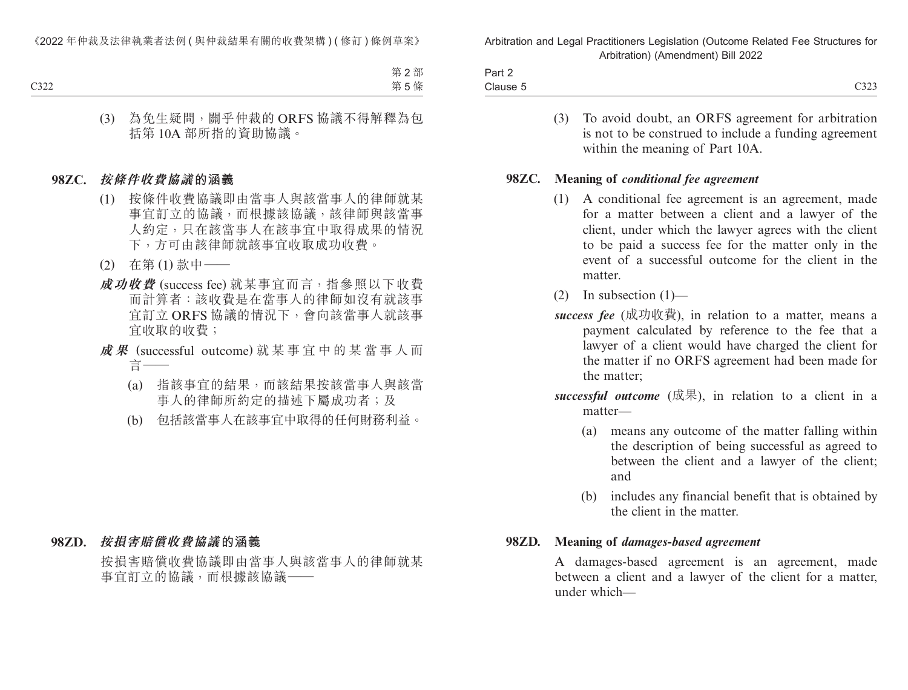| Part 2   |                                                    |
|----------|----------------------------------------------------|
| Clause 5 | $\sim$<br>$\rightarrow$ $\rightarrow$<br>$\cup$ 20 |

(3) To avoid doubt, an ORFS agreement for arbitration is not to be construed to include a funding agreement within the meaning of Part 10A.

#### **98ZC. Meaning of** *conditional fee agreement*

- (1) A conditional fee agreement is an agreement, made for a matter between a client and a lawyer of the client, under which the lawyer agrees with the client to be paid a success fee for the matter only in the event of a successful outcome for the client in the matter.
- (2) In subsection  $(1)$ —
- *success fee* (成功收費), in relation to a matter, means a payment calculated by reference to the fee that a lawyer of a client would have charged the client for the matter if no ORFS agreement had been made for the matter;
- *successful outcome* (成果), in relation to a client in a matter—
	- (a) means any outcome of the matter falling within the description of being successful as agreed to between the client and a lawyer of the client; and
	- (b) includes any financial benefit that is obtained by the client in the matter.

#### **98ZD. Meaning of** *damages-based agreement*

A damages-based agreement is an agreement, made between a client and a lawyer of the client for a matter, under which—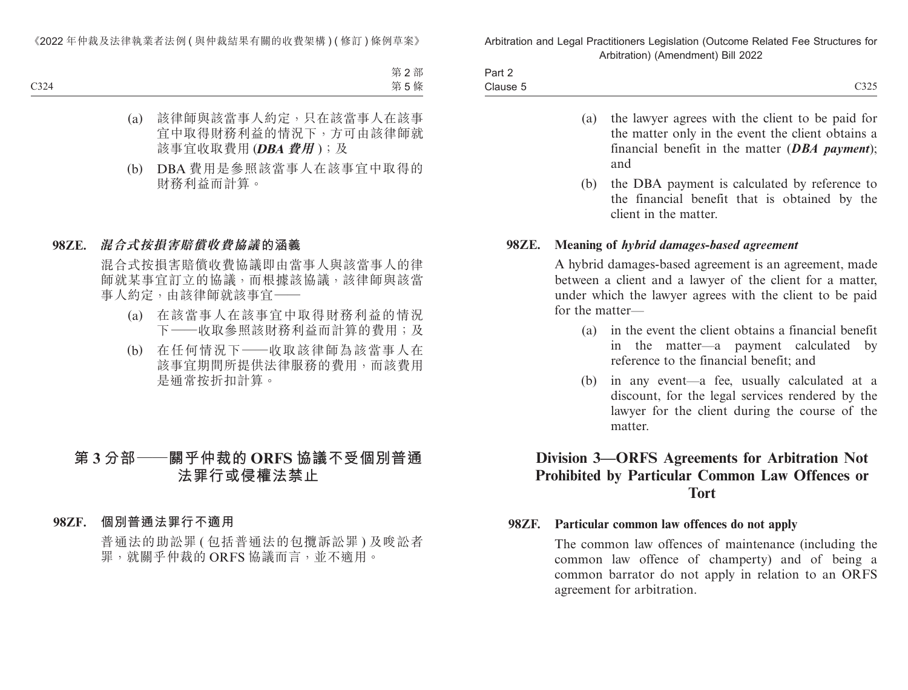| Part 2                                                                                                                      |      |
|-----------------------------------------------------------------------------------------------------------------------------|------|
| Clause 5<br>the contract of the contract of the contract of the contract of the contract of the contract of the contract of | C325 |

- (a) the lawyer agrees with the client to be paid for the matter only in the event the client obtains a financial benefit in the matter (*DBA payment*); and
- (b) the DBA payment is calculated by reference to the financial benefit that is obtained by the client in the matter.

#### **98ZE. Meaning of** *hybrid damages-based agreement*

A hybrid damages-based agreement is an agreement, made between a client and a lawyer of the client for a matter, under which the lawyer agrees with the client to be paid for the matter—

- (a) in the event the client obtains a financial benefit in the matter—a payment calculated by reference to the financial benefit; and
- (b) in any event—a fee, usually calculated at a discount, for the legal services rendered by the lawyer for the client during the course of the matter.

# **Division 3—ORFS Agreements for Arbitration Not Prohibited by Particular Common Law Offences or Tort**

#### **98ZF. Particular common law offences do not apply**

The common law offences of maintenance (including the common law offence of champerty) and of being a common barrator do not apply in relation to an ORFS agreement for arbitration.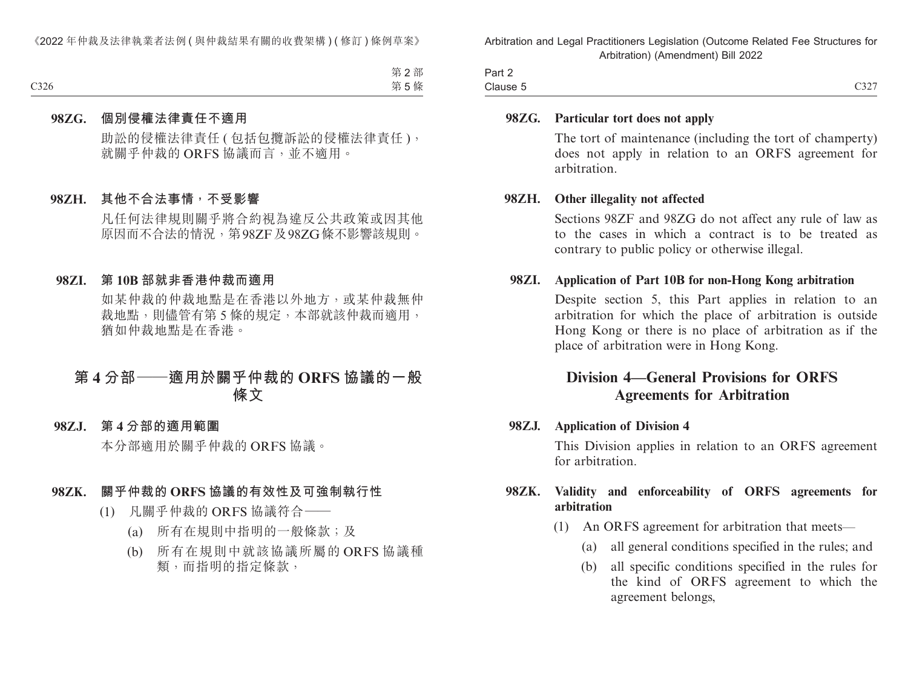| Part 2   |                          |
|----------|--------------------------|
| Clause 5 | $\sim\sim\sim$<br>$\cup$ |

#### **98ZG. Particular tort does not apply**

The tort of maintenance (including the tort of champerty) does not apply in relation to an ORFS agreement for arbitration.

#### **98ZH. Other illegality not affected**

Sections 98ZF and 98ZG do not affect any rule of law as to the cases in which a contract is to be treated as contrary to public policy or otherwise illegal.

#### **98ZI. Application of Part 10B for non-Hong Kong arbitration**

Despite section 5, this Part applies in relation to an arbitration for which the place of arbitration is outside Hong Kong or there is no place of arbitration as if the place of arbitration were in Hong Kong.

### **Division 4—General Provisions for ORFS Agreements for Arbitration**

#### **98ZJ. Application of Division 4**

This Division applies in relation to an ORFS agreement for arbitration.

#### **98ZK. Validity and enforceability of ORFS agreements for arbitration**

- (1) An ORFS agreement for arbitration that meets—
	- (a) all general conditions specified in the rules; and
	- (b) all specific conditions specified in the rules for the kind of ORFS agreement to which the agreement belongs,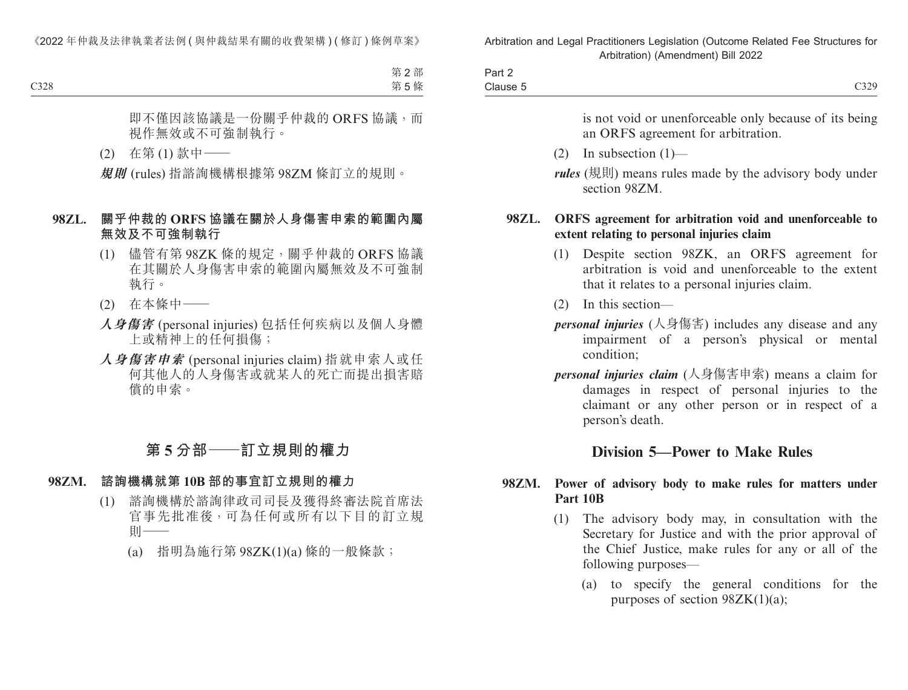| Part 2   |              |
|----------|--------------|
| Clause 5 | 0.20<br>C329 |

is not void or unenforceable only because of its being an ORFS agreement for arbitration.

(2) In subsection (1)—

*rules* (規則) means rules made by the advisory body under section 98ZM.

#### **98ZL. ORFS agreement for arbitration void and unenforceable to extent relating to personal injuries claim**

- (1) Despite section 98ZK, an ORFS agreement for arbitration is void and unenforceable to the extent that it relates to a personal injuries claim.
- (2) In this section—
- *personal injuries* (人身傷害) includes any disease and any impairment of a person's physical or mental condition;
- *personal injuries claim* (人身傷害申索) means a claim for damages in respect of personal injuries to the claimant or any other person or in respect of a person's death.

# **Division 5—Power to Make Rules**

### **98ZM. Power of advisory body to make rules for matters under Part 10B**

- (1) The advisory body may, in consultation with the Secretary for Justice and with the prior approval of the Chief Justice, make rules for any or all of the following purposes—
	- (a) to specify the general conditions for the purposes of section  $98ZK(1)(a)$ ;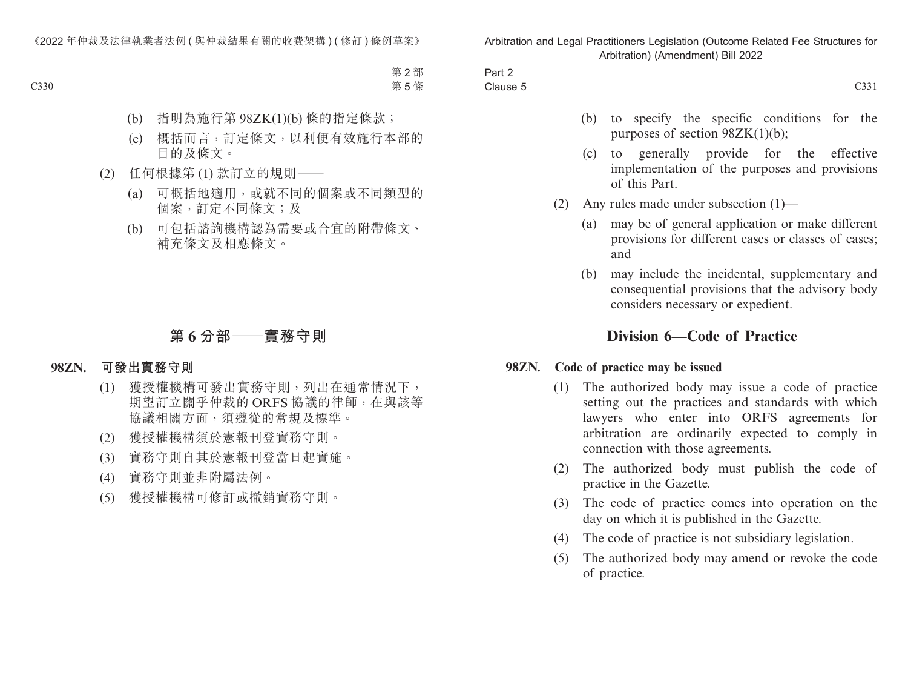| $\overline{\phantom{a}}$<br>$\overline{\phantom{a}}$<br>Part 2 |                    |
|----------------------------------------------------------------|--------------------|
| Clause 5                                                       | 0.221<br>$C_{331}$ |

- (b) to specify the specific conditions for the purposes of section 98ZK(1)(b);
- (c) to generally provide for the effective implementation of the purposes and provisions of this Part.
- (2) Any rules made under subsection (1)—
	- (a) may be of general application or make different provisions for different cases or classes of cases; and
	- (b) may include the incidental, supplementary and consequential provisions that the advisory body considers necessary or expedient.

# **Division 6—Code of Practice**

#### **98ZN. Code of practice may be issued**

- (1) The authorized body may issue a code of practice setting out the practices and standards with which lawyers who enter into ORFS agreements for arbitration are ordinarily expected to comply in connection with those agreements.
- (2) The authorized body must publish the code of practice in the Gazette.
- (3) The code of practice comes into operation on the day on which it is published in the Gazette.
- (4) The code of practice is not subsidiary legislation.
- (5) The authorized body may amend or revoke the code of practice.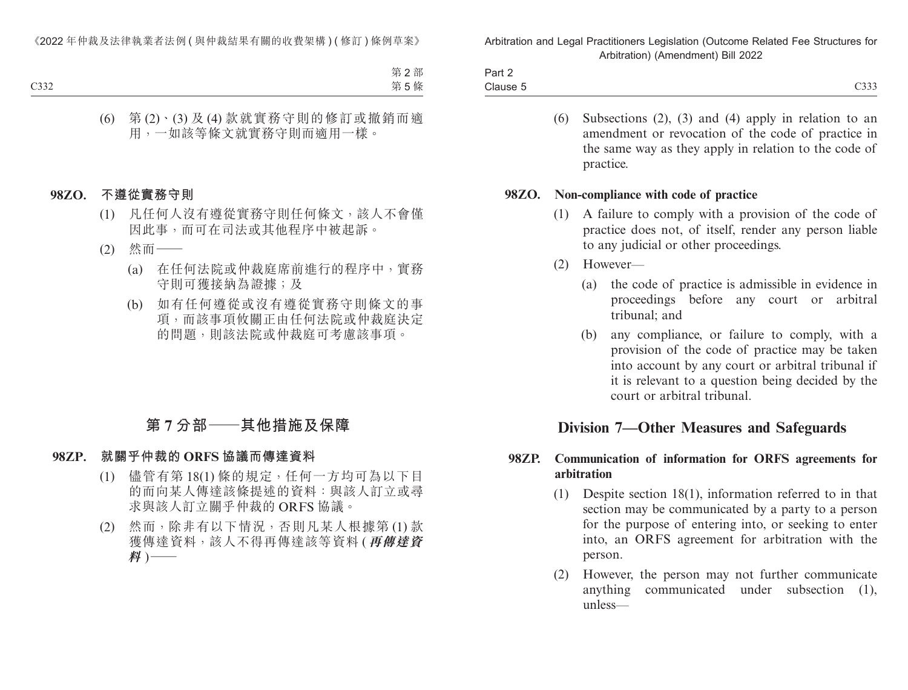| Part z   |                                                                           |
|----------|---------------------------------------------------------------------------|
| Clause 5 | $\sim$ $\sim$ $\sim$<br>$\rightarrow$ $\rightarrow$ $\rightarrow$<br>uu u |

(6) Subsections (2), (3) and (4) apply in relation to an amendment or revocation of the code of practice in the same way as they apply in relation to the code of practice.

#### **98ZO. Non-compliance with code of practice**

- (1) A failure to comply with a provision of the code of practice does not, of itself, render any person liable to any judicial or other proceedings.
- (2) However—
	- (a) the code of practice is admissible in evidence in proceedings before any court or arbitral tribunal; and
	- (b) any compliance, or failure to comply, with a provision of the code of practice may be taken into account by any court or arbitral tribunal if it is relevant to a question being decided by the court or arbitral tribunal.

# **Division 7—Other Measures and Safeguards**

#### **98ZP. Communication of information for ORFS agreements for arbitration**

- (1) Despite section 18(1), information referred to in that section may be communicated by a party to a person for the purpose of entering into, or seeking to enter into, an ORFS agreement for arbitration with the person.
- (2) However, the person may not further communicate anything communicated under subsection (1), unless—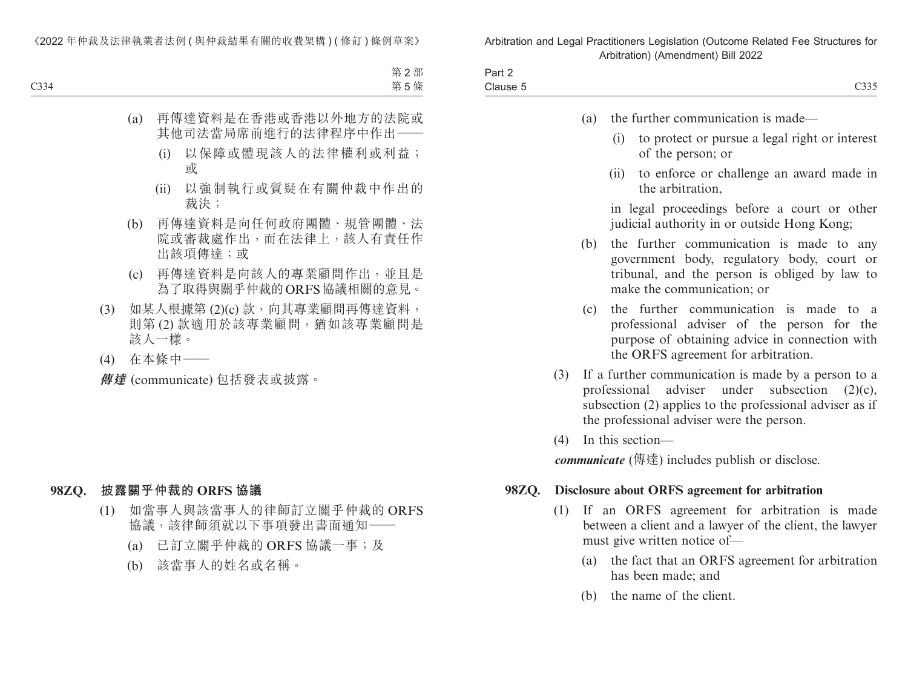| $\sim$<br>$J \cap r$<br>−an z                                                                                   |                      |
|-----------------------------------------------------------------------------------------------------------------|----------------------|
|                                                                                                                 |                      |
| Clause 5                                                                                                        | $\sim$ $\sim$ $\sim$ |
| the contract of the contract of the contract of the contract of the contract of the contract of the contract of | $\sim$               |

- (a) the further communication is made—
	- (i) to protect or pursue a legal right or interest of the person; or
	- (ii) to enforce or challenge an award made in the arbitration,

 in legal proceedings before a court or other judicial authority in or outside Hong Kong;

- (b) the further communication is made to any government body, regulatory body, court or tribunal, and the person is obliged by law to make the communication; or
- (c) the further communication is made to a professional adviser of the person for the purpose of obtaining advice in connection with the ORFS agreement for arbitration.
- (3) If a further communication is made by a person to a professional adviser under subsection (2)(c), subsection (2) applies to the professional adviser as if the professional adviser were the person.
- (4) In this section—

*communicate* (傳達) includes publish or disclose.

#### **98ZQ. Disclosure about ORFS agreement for arbitration**

- (1) If an ORFS agreement for arbitration is made between a client and a lawyer of the client, the lawyer must give written notice of—
	- (a) the fact that an ORFS agreement for arbitration has been made; and
	- (b) the name of the client.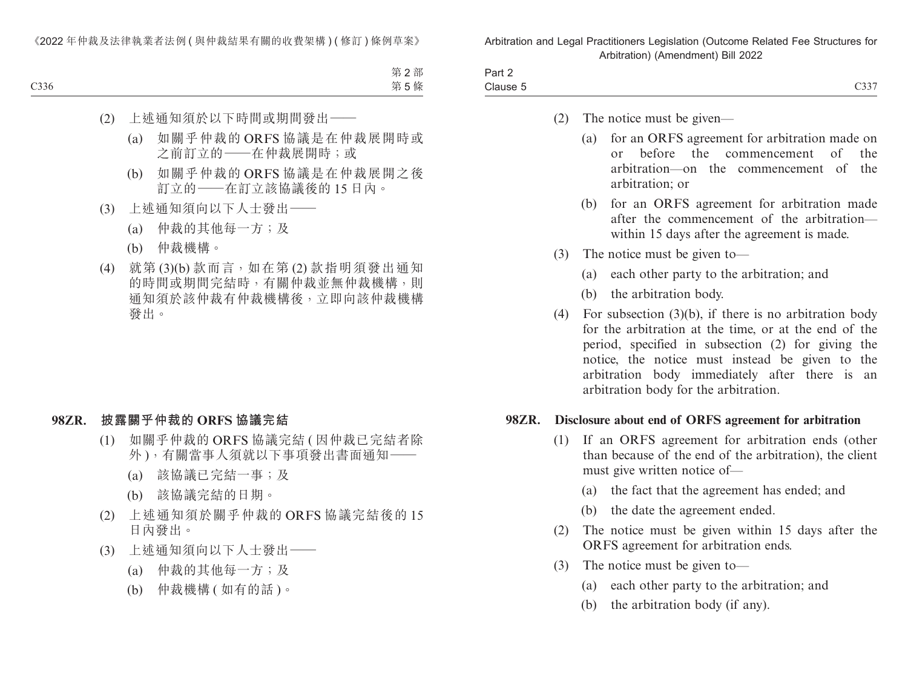| -<br>3 <sub>cm</sub><br>-an z  |                      |
|--------------------------------|----------------------|
| $\cap$<br>. .<br><b>Uldust</b> | $\sim\sim\sim$<br>ັບ |

- (2) The notice must be given—
	- (a) for an ORFS agreement for arbitration made on or before the commencement of the arbitration—on the commencement of the arbitration; or
	- (b) for an ORFS agreement for arbitration made after the commencement of the arbitration within 15 days after the agreement is made.
- (3) The notice must be given to—
	- (a) each other party to the arbitration; and
	- (b) the arbitration body.
- (4) For subsection (3)(b), if there is no arbitration body for the arbitration at the time, or at the end of the period, specified in subsection (2) for giving the notice, the notice must instead be given to the arbitration body immediately after there is an arbitration body for the arbitration.

#### **98ZR. Disclosure about end of ORFS agreement for arbitration**

- (1) If an ORFS agreement for arbitration ends (other than because of the end of the arbitration), the client must give written notice of—
	- (a) the fact that the agreement has ended; and
	- (b) the date the agreement ended.
- (2) The notice must be given within 15 days after the ORFS agreement for arbitration ends.
- (3) The notice must be given to—
	- (a) each other party to the arbitration; and
	- (b) the arbitration body (if any).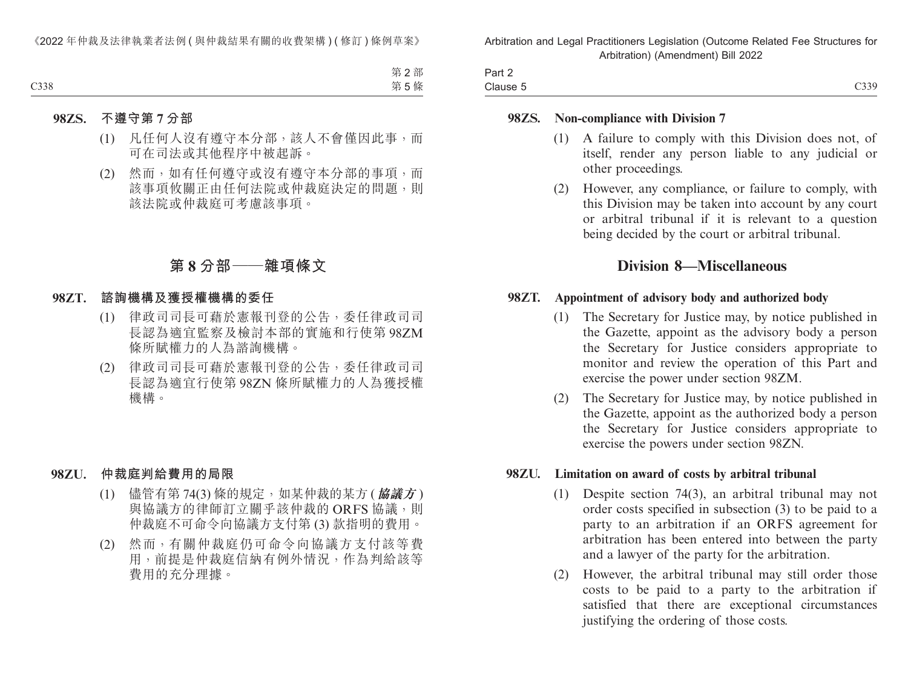| Part 2   |                 |
|----------|-----------------|
| Clause 5 | 0.339<br>$\cup$ |

#### **98ZS. Non-compliance with Division 7**

- (1) A failure to comply with this Division does not, of itself, render any person liable to any judicial or other proceedings.
- (2) However, any compliance, or failure to comply, with this Division may be taken into account by any court or arbitral tribunal if it is relevant to a question being decided by the court or arbitral tribunal.

# **Division 8—Miscellaneous**

#### **98ZT. Appointment of advisory body and authorized body**

- (1) The Secretary for Justice may, by notice published in the Gazette, appoint as the advisory body a person the Secretary for Justice considers appropriate to monitor and review the operation of this Part and exercise the power under section 98ZM.
- (2) The Secretary for Justice may, by notice published in the Gazette, appoint as the authorized body a person the Secretary for Justice considers appropriate to exercise the powers under section 98ZN.

#### **98ZU. Limitation on award of costs by arbitral tribunal**

- (1) Despite section 74(3), an arbitral tribunal may not order costs specified in subsection (3) to be paid to a party to an arbitration if an ORFS agreement for arbitration has been entered into between the party and a lawyer of the party for the arbitration.
- (2) However, the arbitral tribunal may still order those costs to be paid to a party to the arbitration if satisfied that there are exceptional circumstances justifying the ordering of those costs.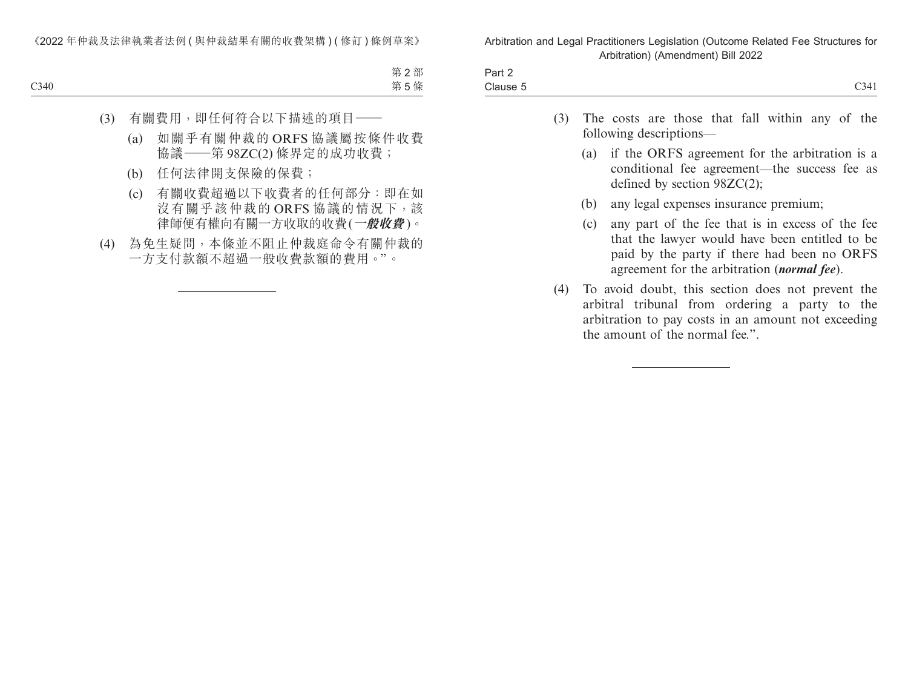| $\sim$<br>$J \cap r$<br>−ail ∠ |  |
|--------------------------------|--|
|                                |  |
|                                |  |

- (3) The costs are those that fall within any of the following descriptions—
	- (a) if the ORFS agreement for the arbitration is a conditional fee agreement—the success fee as defined by section 98ZC(2);
	- (b) any legal expenses insurance premium;
	- (c) any part of the fee that is in excess of the fee that the lawyer would have been entitled to be paid by the party if there had been no ORFS agreement for the arbitration (*normal fee*).
- (4) To avoid doubt, this section does not prevent the arbitral tribunal from ordering a party to the arbitration to pay costs in an amount not exceeding the amount of the normal fee.".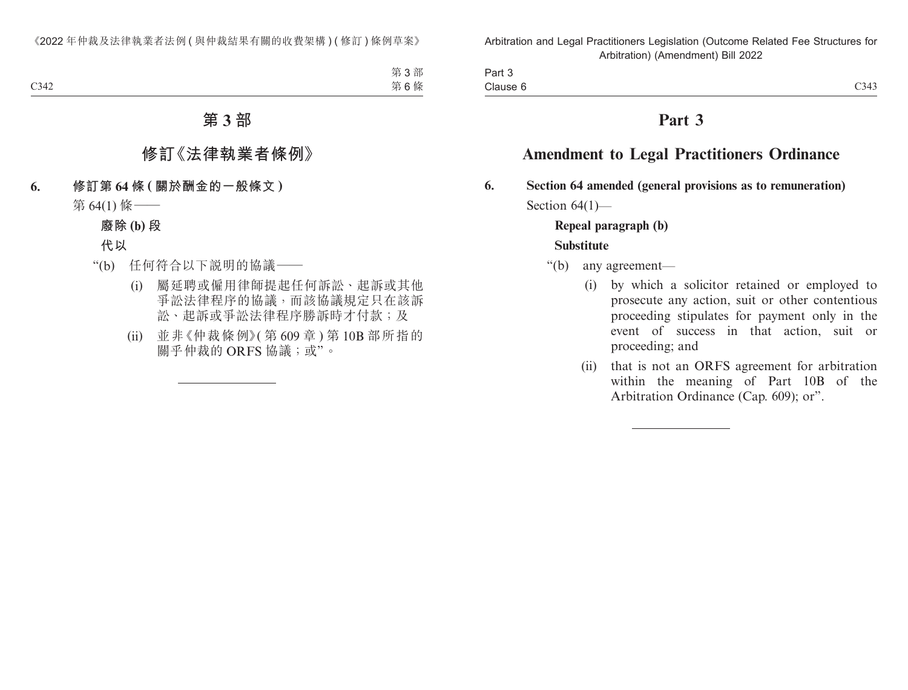Part 3 Clause 6  $\blacksquare$ Clause 6  $\blacksquare$ 

# **Part 3**

# **Amendment to Legal Practitioners Ordinance**

**6. Section 64 amended (general provisions as to remuneration)** Section  $64(1)$ —

# **Repeal paragraph (b) Substitute**

- "(b) any agreement—
	- (i) by which a solicitor retained or employed to prosecute any action, suit or other contentious proceeding stipulates for payment only in the event of success in that action, suit or proceeding; and
	- (ii) that is not an ORFS agreement for arbitration within the meaning of Part 10B of the Arbitration Ordinance (Cap. 609); or".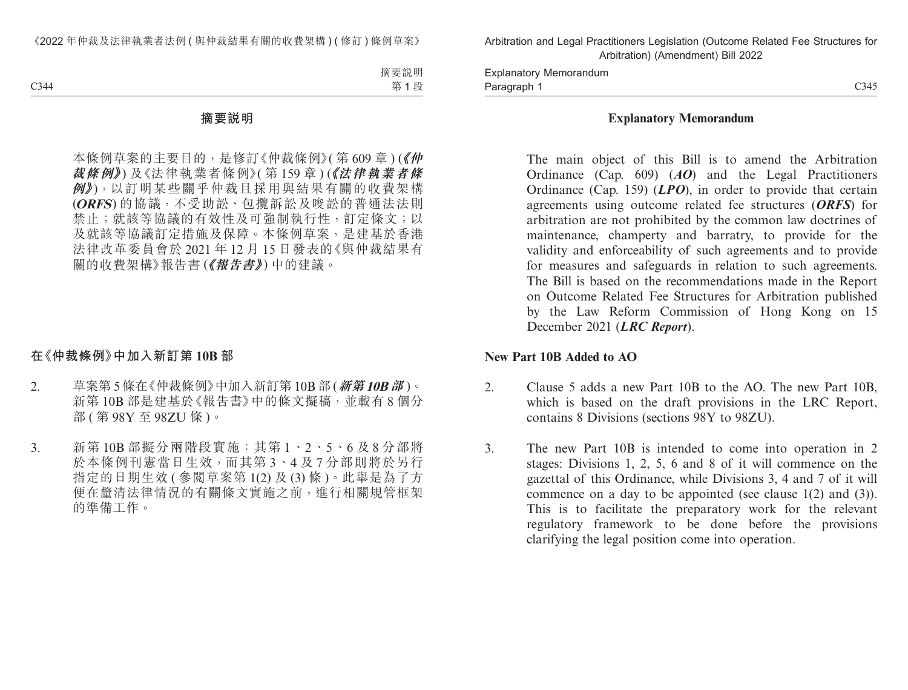Paragraph 1 and 2014 C345 Explanatory Memorandum Paragraph 1

#### **Explanatory Memorandum**

The main object of this Bill is to amend the Arbitration Ordinance (Cap. 609) (*AO*) and the Legal Practitioners Ordinance (Cap. 159) (*LPO*), in order to provide that certain agreements using outcome related fee structures (*ORFS*) for arbitration are not prohibited by the common law doctrines of maintenance, champerty and barratry, to provide for the validity and enforceability of such agreements and to provide for measures and safeguards in relation to such agreements. The Bill is based on the recommendations made in the Report on Outcome Related Fee Structures for Arbitration published by the Law Reform Commission of Hong Kong on 15 December 2021 (*LRC Report*).

#### **New Part 10B Added to AO**

- 2. Clause 5 adds a new Part 10B to the AO. The new Part 10B, which is based on the draft provisions in the LRC Report, contains 8 Divisions (sections 98Y to 98ZU).
- 3. The new Part 10B is intended to come into operation in 2 stages: Divisions 1, 2, 5, 6 and 8 of it will commence on the gazettal of this Ordinance, while Divisions 3, 4 and 7 of it will commence on a day to be appointed (see clause 1(2) and (3)). This is to facilitate the preparatory work for the relevant regulatory framework to be done before the provisions clarifying the legal position come into operation.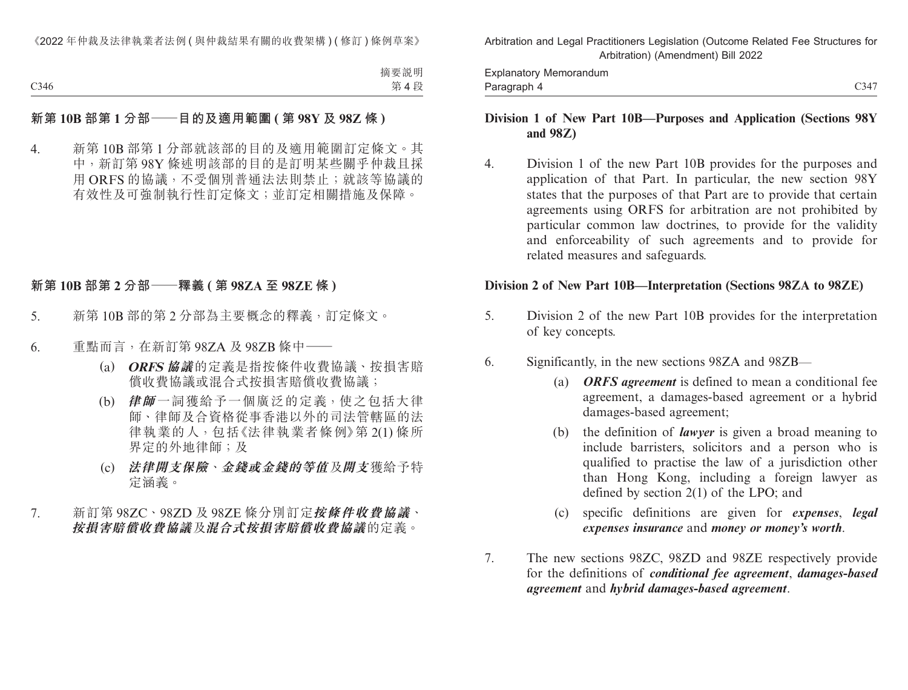Paragraph 4 C347 Explanatory Memorandum Paragraph 4

### **Division 1 of New Part 10B—Purposes and Application (Sections 98Y and 98Z)**

4. Division 1 of the new Part 10B provides for the purposes and application of that Part. In particular, the new section 98Y states that the purposes of that Part are to provide that certain agreements using ORFS for arbitration are not prohibited by particular common law doctrines, to provide for the validity and enforceability of such agreements and to provide for related measures and safeguards.

#### **Division 2 of New Part 10B—Interpretation (Sections 98ZA to 98ZE)**

- 5. Division 2 of the new Part 10B provides for the interpretation of key concepts.
- 6. Significantly, in the new sections 98ZA and 98ZB—
	- (a) *ORFS agreement* is defined to mean a conditional fee agreement, a damages-based agreement or a hybrid damages-based agreement;
	- (b) the definition of *lawyer* is given a broad meaning to include barristers, solicitors and a person who is qualified to practise the law of a jurisdiction other than Hong Kong, including a foreign lawyer as defined by section 2(1) of the LPO; and
	- (c) specific definitions are given for *expenses*, *legal expenses insurance* and *money or money's worth*.
- 7. The new sections 98ZC, 98ZD and 98ZE respectively provide for the definitions of *conditional fee agreement*, *damages-based agreement* and *hybrid damages-based agreement*.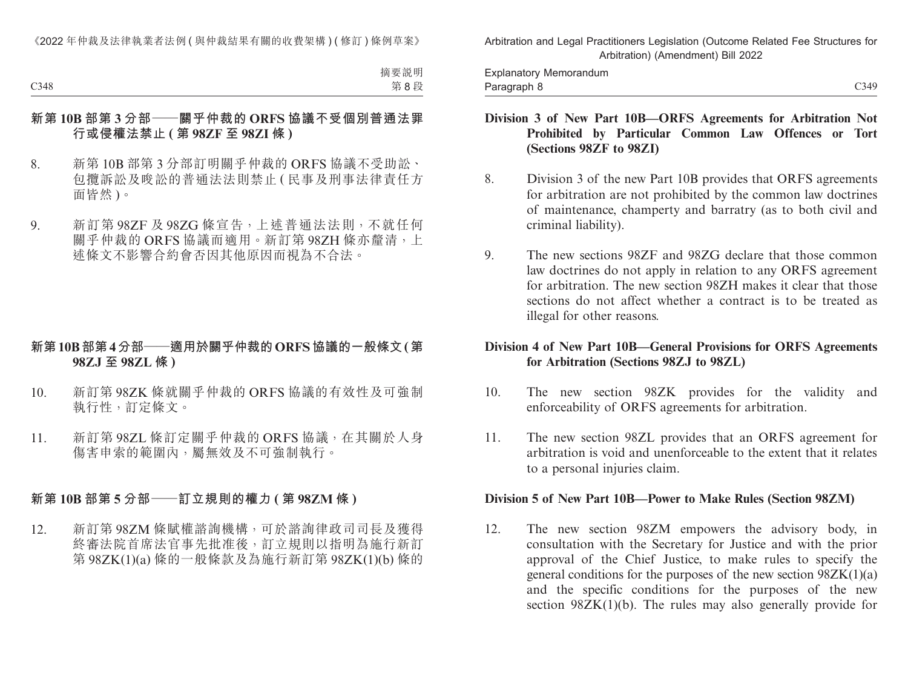C348 C349 Explanatory Memorandum Paragraph 8

#### **Division 3 of New Part 10B—ORFS Agreements for Arbitration Not Prohibited by Particular Common Law Offences or Tort (Sections 98ZF to 98ZI)**

- 8. Division 3 of the new Part 10B provides that ORFS agreements for arbitration are not prohibited by the common law doctrines of maintenance, champerty and barratry (as to both civil and criminal liability).
- 9. The new sections 98ZF and 98ZG declare that those common law doctrines do not apply in relation to any ORFS agreement for arbitration. The new section 98ZH makes it clear that those sections do not affect whether a contract is to be treated as illegal for other reasons.

#### **Division 4 of New Part 10B—General Provisions for ORFS Agreements for Arbitration (Sections 98ZJ to 98ZL)**

- 10. The new section 98ZK provides for the validity and enforceability of ORFS agreements for arbitration.
- 11. The new section 98ZL provides that an ORFS agreement for arbitration is void and unenforceable to the extent that it relates to a personal injuries claim.

#### **Division 5 of New Part 10B—Power to Make Rules (Section 98ZM)**

12. The new section 98ZM empowers the advisory body, in consultation with the Secretary for Justice and with the prior approval of the Chief Justice, to make rules to specify the general conditions for the purposes of the new section  $98ZK(1)(a)$ and the specific conditions for the purposes of the new section  $98ZK(1)(b)$ . The rules may also generally provide for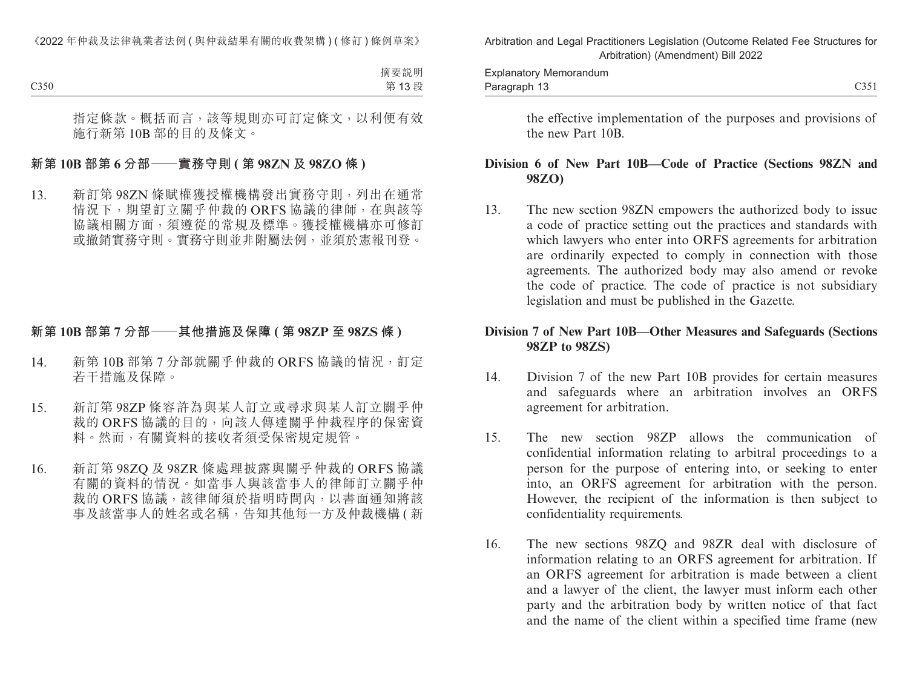the effective implementation of the purposes and provisions of the new Part 10B.

#### **Division 6 of New Part 10B—Code of Practice (Sections 98ZN and 98ZO)**

13. The new section 98ZN empowers the authorized body to issue a code of practice setting out the practices and standards with which lawyers who enter into ORFS agreements for arbitration are ordinarily expected to comply in connection with those agreements. The authorized body may also amend or revoke the code of practice. The code of practice is not subsidiary legislation and must be published in the Gazette.

#### **Division 7 of New Part 10B—Other Measures and Safeguards (Sections 98ZP to 98ZS)**

- 14. Division 7 of the new Part 10B provides for certain measures and safeguards where an arbitration involves an ORFS agreement for arbitration.
- 15. The new section 98ZP allows the communication of confidential information relating to arbitral proceedings to a person for the purpose of entering into, or seeking to enter into, an ORFS agreement for arbitration with the person. However, the recipient of the information is then subject to confidentiality requirements.
- 16. The new sections 98ZQ and 98ZR deal with disclosure of information relating to an ORFS agreement for arbitration. If an ORFS agreement for arbitration is made between a client and a lawyer of the client, the lawyer must inform each other party and the arbitration body by written notice of that fact and the name of the client within a specified time frame (new